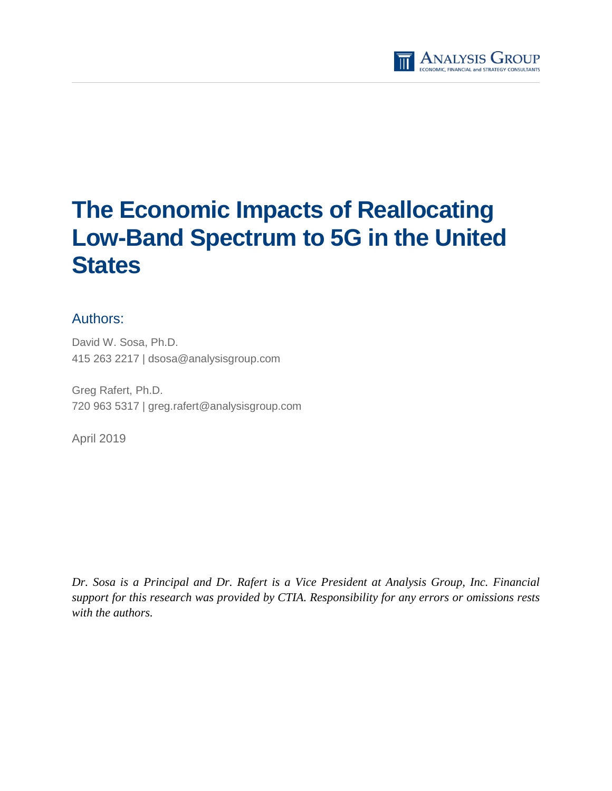

# **The Economic Impacts of Reallocating Low-Band Spectrum to 5G in the United States**

## Authors:

David W. Sosa, Ph.D. 415 263 2217 | dsosa@analysisgroup.com

Greg Rafert, Ph.D. 720 963 5317 | greg.rafert@analysisgroup.com

April 2019

*Dr. Sosa is a Principal and Dr. Rafert is a Vice President at Analysis Group, Inc. Financial support for this research was provided by CTIA. Responsibility for any errors or omissions rests with the authors.*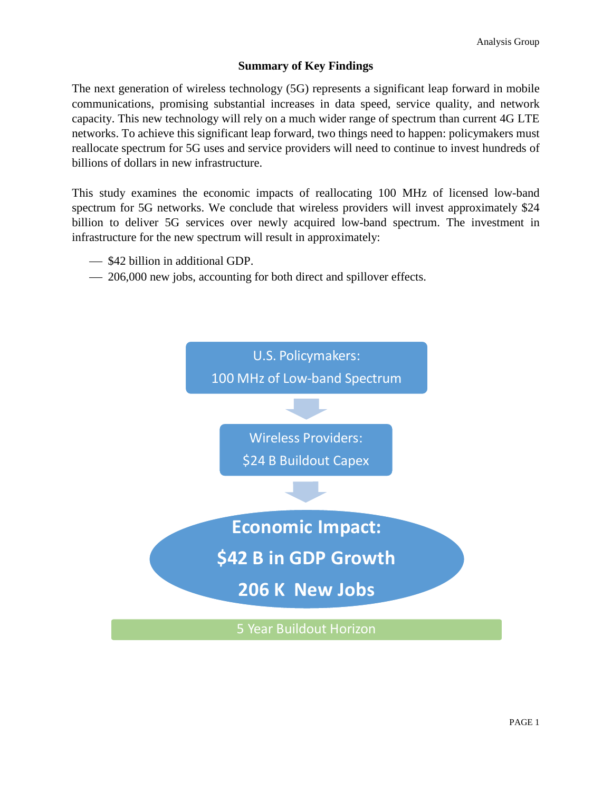## **Summary of Key Findings**

The next generation of wireless technology (5G) represents a significant leap forward in mobile communications, promising substantial increases in data speed, service quality, and network capacity. This new technology will rely on a much wider range of spectrum than current 4G LTE networks. To achieve this significant leap forward, two things need to happen: policymakers must reallocate spectrum for 5G uses and service providers will need to continue to invest hundreds of billions of dollars in new infrastructure.

This study examines the economic impacts of reallocating 100 MHz of licensed low-band spectrum for 5G networks. We conclude that wireless providers will invest approximately \$24 billion to deliver 5G services over newly acquired low-band spectrum. The investment in infrastructure for the new spectrum will result in approximately:

- $\sim$  \$42 billion in additional GDP.
- 206,000 new jobs, accounting for both direct and spillover effects.

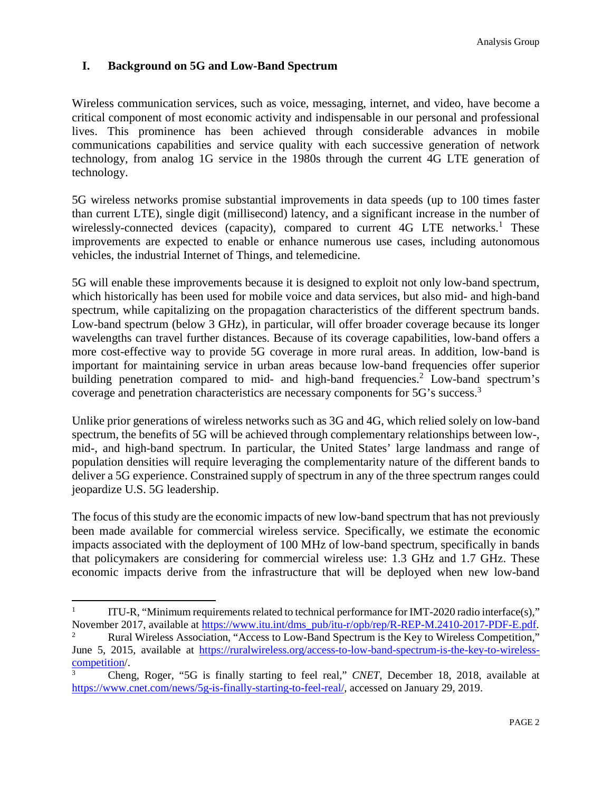## **I. Background on 5G and Low-Band Spectrum**

Wireless communication services, such as voice, messaging, internet, and video, have become a critical component of most economic activity and indispensable in our personal and professional lives. This prominence has been achieved through considerable advances in mobile communications capabilities and service quality with each successive generation of network technology, from analog 1G service in the 1980s through the current 4G LTE generation of technology.

5G wireless networks promise substantial improvements in data speeds (up to 100 times faster than current LTE), single digit (millisecond) latency, and a significant increase in the number of wirelessly-connected devices (capacity), compared to current 4G LTE networks.<sup>1</sup> These improvements are expected to enable or enhance numerous use cases, including autonomous vehicles, the industrial Internet of Things, and telemedicine.

5G will enable these improvements because it is designed to exploit not only low-band spectrum, which historically has been used for mobile voice and data services, but also mid- and high-band spectrum, while capitalizing on the propagation characteristics of the different spectrum bands. Low-band spectrum (below 3 GHz), in particular, will offer broader coverage because its longer wavelengths can travel further distances. Because of its coverage capabilities, low-band offers a more cost-effective way to provide 5G coverage in more rural areas. In addition, low-band is important for maintaining service in urban areas because low-band frequencies offer superior building penetration compared to mid- and high-band frequencies.<sup>2</sup> Low-band spectrum's coverage and penetration characteristics are necessary components for 5G's success.<sup>3</sup>

Unlike prior generations of wireless networks such as 3G and 4G, which relied solely on low-band spectrum, the benefits of 5G will be achieved through complementary relationships between low-, mid-, and high-band spectrum. In particular, the United States' large landmass and range of population densities will require leveraging the complementarity nature of the different bands to deliver a 5G experience. Constrained supply of spectrum in any of the three spectrum ranges could jeopardize U.S. 5G leadership.

The focus of this study are the economic impacts of new low-band spectrum that has not previously been made available for commercial wireless service. Specifically, we estimate the economic impacts associated with the deployment of 100 MHz of low-band spectrum, specifically in bands that policymakers are considering for commercial wireless use: 1.3 GHz and 1.7 GHz. These economic impacts derive from the infrastructure that will be deployed when new low-band

<sup>1</sup> ITU-R, "Minimum requirements related to technical performance for IMT-2020 radio interface(s)," November 2017, available at https://www.itu.int/dms\_pub/itu-r/opb/rep/R-REP-M.2410-2017-PDF-E.pdf.

<sup>2</sup> Rural Wireless Association, "Access to Low-Band Spectrum is the Key to Wireless Competition," June 5, 2015, available at https://ruralwireless.org/access-to-low-band-spectrum-is-the-key-to-wirelesscompetition/.

<sup>3</sup> Cheng, Roger, "5G is finally starting to feel real," *CNET,* December 18, 2018, available at https://www.cnet.com/news/5g-is-finally-starting-to-feel-real/, accessed on January 29, 2019.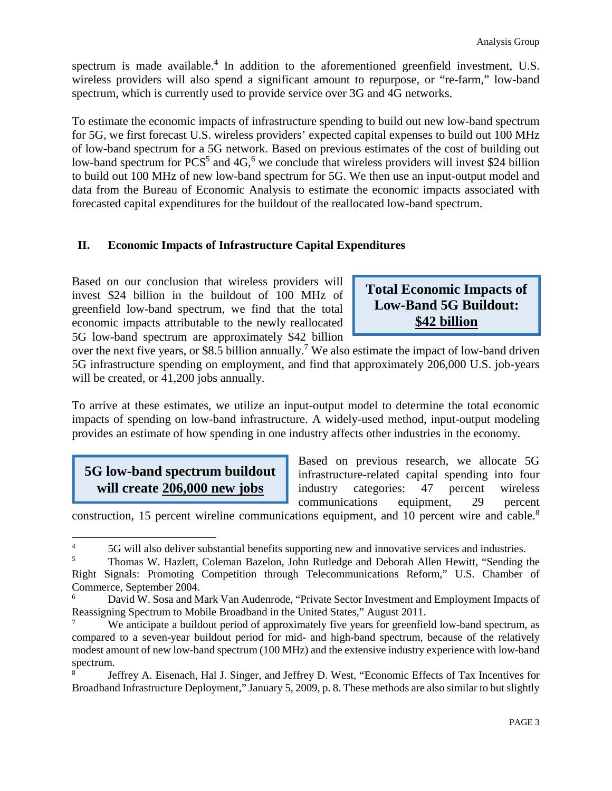spectrum is made available.<sup>4</sup> In addition to the aforementioned greenfield investment, U.S. wireless providers will also spend a significant amount to repurpose, or "re-farm," low-band spectrum, which is currently used to provide service over 3G and 4G networks.

To estimate the economic impacts of infrastructure spending to build out new low-band spectrum for 5G, we first forecast U.S. wireless providers' expected capital expenses to build out 100 MHz of low-band spectrum for a 5G network. Based on previous estimates of the cost of building out low-band spectrum for PCS<sup>5</sup> and 4G,<sup>6</sup> we conclude that wireless providers will invest \$24 billion to build out 100 MHz of new low-band spectrum for 5G. We then use an input-output model and data from the Bureau of Economic Analysis to estimate the economic impacts associated with forecasted capital expenditures for the buildout of the reallocated low-band spectrum.

## **II. Economic Impacts of Infrastructure Capital Expenditures**

Based on our conclusion that wireless providers will invest \$24 billion in the buildout of 100 MHz of greenfield low-band spectrum, we find that the total economic impacts attributable to the newly reallocated 5G low-band spectrum are approximately \$42 billion

# **Total Economic Impacts of Low-Band 5G Buildout: \$42 billion**

over the next five years, or \$8.5 billion annually.<sup>7</sup> We also estimate the impact of low-band driven 5G infrastructure spending on employment, and find that approximately 206,000 U.S. job-years will be created, or 41,200 jobs annually.

To arrive at these estimates, we utilize an input-output model to determine the total economic impacts of spending on low-band infrastructure. A widely-used method, input-output modeling provides an estimate of how spending in one industry affects other industries in the economy.

# **5G low-band spectrum buildout will create 206,000 new jobs**

Based on previous research, we allocate 5G infrastructure-related capital spending into four industry categories: 47 percent wireless communications equipment, 29 percent

construction, 15 percent wireline communications equipment, and 10 percent wire and cable.<sup>8</sup>

<sup>&</sup>lt;sup>4</sup> 5G will also deliver substantial benefits supporting new and innovative services and industries.<br>
<sup>5</sup> Thomas W. Hazlett, Coloman Bazalon, John Butladge and Deborah Allen Hawitt, "Sonding to

<sup>5</sup> Thomas W. Hazlett, Coleman Bazelon, John Rutledge and Deborah Allen Hewitt, "Sending the Right Signals: Promoting Competition through Telecommunications Reform," U.S. Chamber of Commerce, September 2004.

<sup>6</sup> David W. Sosa and Mark Van Audenrode, "Private Sector Investment and Employment Impacts of Reassigning Spectrum to Mobile Broadband in the United States," August 2011.

We anticipate a buildout period of approximately five years for greenfield low-band spectrum, as compared to a seven-year buildout period for mid- and high-band spectrum, because of the relatively modest amount of new low-band spectrum (100 MHz) and the extensive industry experience with low-band spectrum.

<sup>8</sup> Jeffrey A. Eisenach, Hal J. Singer, and Jeffrey D. West, "Economic Effects of Tax Incentives for Broadband Infrastructure Deployment," January 5, 2009, p. 8. These methods are also similar to but slightly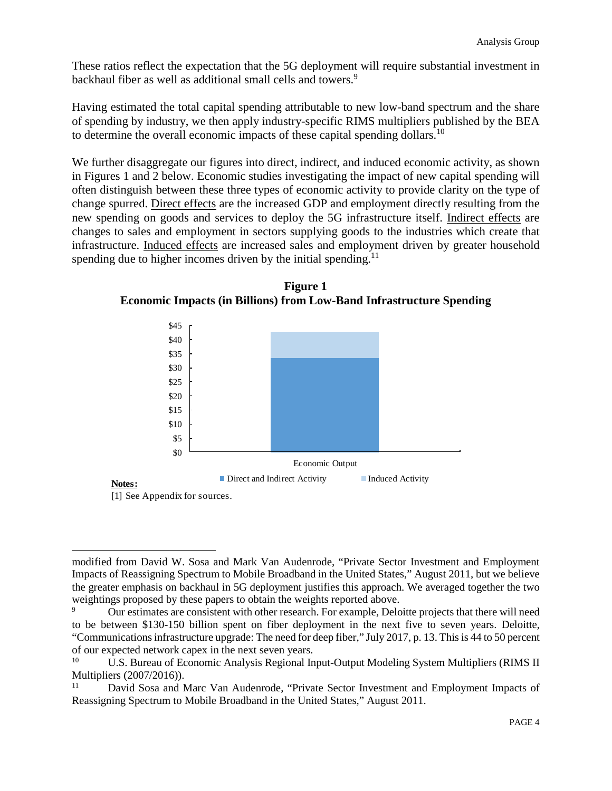These ratios reflect the expectation that the 5G deployment will require substantial investment in backhaul fiber as well as additional small cells and towers.<sup>9</sup>

Having estimated the total capital spending attributable to new low-band spectrum and the share of spending by industry, we then apply industry-specific RIMS multipliers published by the BEA to determine the overall economic impacts of these capital spending dollars.<sup>10</sup>

We further disaggregate our figures into direct, indirect, and induced economic activity, as shown in Figures 1 and 2 below. Economic studies investigating the impact of new capital spending will often distinguish between these three types of economic activity to provide clarity on the type of change spurred. Direct effects are the increased GDP and employment directly resulting from the new spending on goods and services to deploy the 5G infrastructure itself. Indirect effects are changes to sales and employment in sectors supplying goods to the industries which create that infrastructure. Induced effects are increased sales and employment driven by greater household spending due to higher incomes driven by the initial spending.<sup>11</sup>



**Figure 1 Economic Impacts (in Billions) from Low-Band Infrastructure Spending** 

[1] See Appendix for sources.

modified from David W. Sosa and Mark Van Audenrode, "Private Sector Investment and Employment Impacts of Reassigning Spectrum to Mobile Broadband in the United States," August 2011, but we believe the greater emphasis on backhaul in 5G deployment justifies this approach. We averaged together the two weightings proposed by these papers to obtain the weights reported above.

<sup>9</sup> Our estimates are consistent with other research. For example, Deloitte projects that there will need to be between \$130-150 billion spent on fiber deployment in the next five to seven years. Deloitte, "Communications infrastructure upgrade: The need for deep fiber," July 2017, p. 13. This is 44 to 50 percent of our expected network capex in the next seven years.

U.S. Bureau of Economic Analysis Regional Input-Output Modeling System Multipliers (RIMS II Multipliers (2007/2016)).

David Sosa and Marc Van Audenrode, "Private Sector Investment and Employment Impacts of Reassigning Spectrum to Mobile Broadband in the United States," August 2011.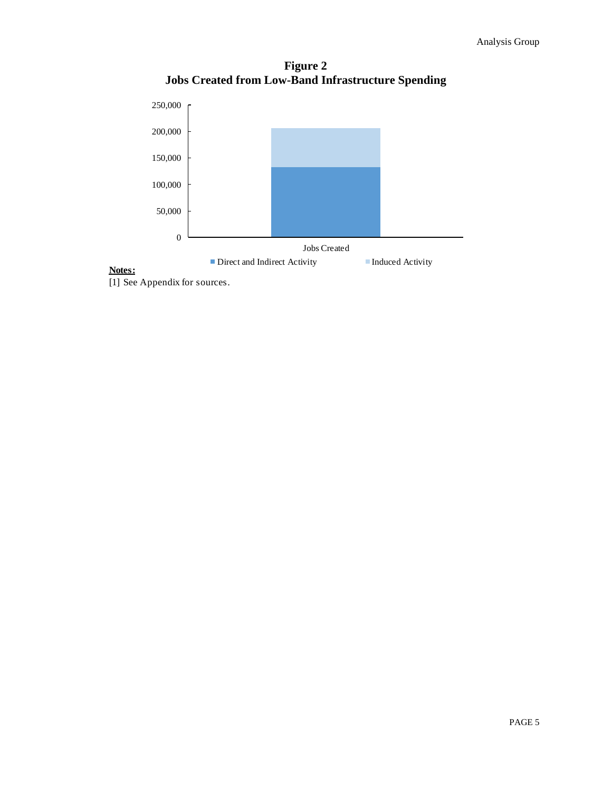**Figure 2 Jobs Created from Low-Band Infrastructure Spending** 



# **Notes:**

[1] See Appendix for sources.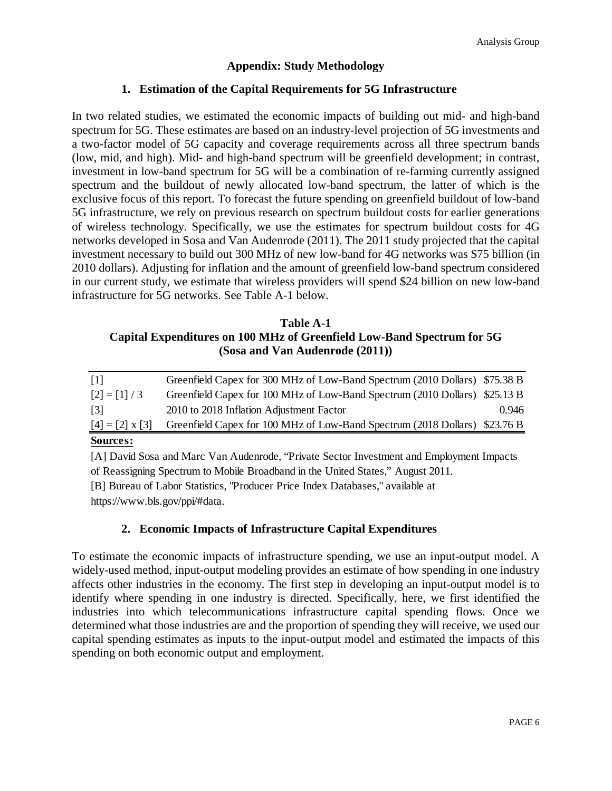## **Appendix: Study Methodology**

#### **1. Estimation of the Capital Requirements for 5G Infrastructure**

In two related studies, we estimated the economic impacts of building out mid- and high-band spectrum for 5G. These estimates are based on an industry-level projection of 5G investments and a two-factor model of 5G capacity and coverage requirements across all three spectrum bands (low, mid, and high). Mid- and high-band spectrum will be greenfield development; in contrast, investment in low-band spectrum for 5G will be a combination of re-farming currently assigned spectrum and the buildout of newly allocated low-band spectrum, the latter of which is the exclusive focus of this report. To forecast the future spending on greenfield buildout of low-band 5G infrastructure, we rely on previous research on spectrum buildout costs for earlier generations of wireless technology. Specifically, we use the estimates for spectrum buildout costs for 4G networks developed in Sosa and Van Audenrode (2011). The 2011 study projected that the capital investment necessary to build out 300 MHz of new low-band for 4G networks was \$75 billion (in 2010 dollars). Adjusting for inflation and the amount of greenfield low-band spectrum considered in our current study, we estimate that wireless providers will spend \$24 billion on new low-band infrastructure for 5G networks. See Table A-1 below.

## **Table A-1 Capital Expenditures on 100 MHz of Greenfield Low-Band Spectrum for 5G (Sosa and Van Audenrode (2011))**

| $S$ <sup>o</sup>       |                                                                            |       |
|------------------------|----------------------------------------------------------------------------|-------|
| $[4] = [2] \times [3]$ | Greenfield Capex for 100 MHz of Low-Band Spectrum (2018 Dollars) \$23.76 B |       |
| [3]                    | 2010 to 2018 Inflation Adjustment Factor                                   | 0.946 |
| $[2] = [1] / 3$        | Greenfield Capex for 100 MHz of Low-Band Spectrum (2010 Dollars) \$25.13 B |       |
| -111                   | Greenfield Capex for 300 MHz of Low-Band Spectrum (2010 Dollars) \$75.38 B |       |

#### **Sources:**

[A] David Sosa and Marc Van Audenrode, "Private Sector Investment and Employment Impacts of Reassigning Spectrum to Mobile Broadband in the United States," August 2011.

[B] Bureau of Labor Statistics, "Producer Price Index Databases," available at https://www.bls.gov/ppi/#data.

## **2. Economic Impacts of Infrastructure Capital Expenditures**

To estimate the economic impacts of infrastructure spending, we use an input-output model. A widely-used method, input-output modeling provides an estimate of how spending in one industry affects other industries in the economy. The first step in developing an input-output model is to identify where spending in one industry is directed. Specifically, here, we first identified the industries into which telecommunications infrastructure capital spending flows. Once we determined what those industries are and the proportion of spending they will receive, we used our capital spending estimates as inputs to the input-output model and estimated the impacts of this spending on both economic output and employment.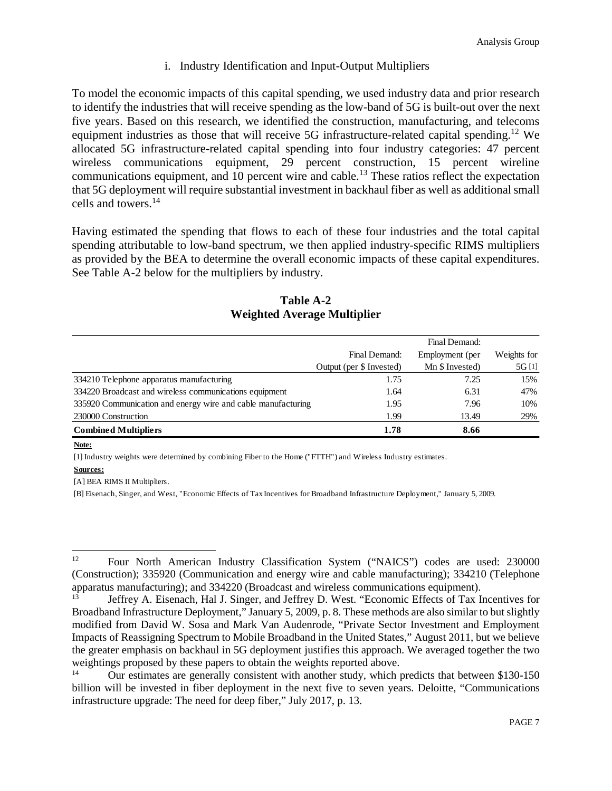## i. Industry Identification and Input-Output Multipliers

To model the economic impacts of this capital spending, we used industry data and prior research to identify the industries that will receive spending as the low-band of 5G is built-out over the next five years. Based on this research, we identified the construction, manufacturing, and telecoms equipment industries as those that will receive 5G infrastructure-related capital spending.<sup>12</sup> We allocated 5G infrastructure-related capital spending into four industry categories: 47 percent wireless communications equipment, 29 percent construction, 15 percent wireline communications equipment, and 10 percent wire and cable.<sup>13</sup> These ratios reflect the expectation that 5G deployment will require substantial investment in backhaul fiber as well as additional small cells and towers.<sup>14</sup>

Having estimated the spending that flows to each of these four industries and the total capital spending attributable to low-band spectrum, we then applied industry-specific RIMS multipliers as provided by the BEA to determine the overall economic impacts of these capital expenditures. See Table A-2 below for the multipliers by industry.

| Table A-2                          |  |  |  |  |
|------------------------------------|--|--|--|--|
| <b>Weighted Average Multiplier</b> |  |  |  |  |

|                                                              |                          | Final Demand:   |             |
|--------------------------------------------------------------|--------------------------|-----------------|-------------|
|                                                              | Final Demand:            | Employment (per | Weights for |
|                                                              | Output (per \$ Invested) | Mn \$ Invested) | 5G [1]      |
| 334210 Telephone apparatus manufacturing                     | 1.75                     | 7.25            | 15%         |
| 334220 Broadcast and wireless communications equipment       | 1.64                     | 6.31            | 47%         |
| 335920 Communication and energy wire and cable manufacturing | 1.95                     | 7.96            | 10%         |
| 230000 Construction                                          | 1.99                     | 13.49           | 29%         |
| <b>Combined Multipliers</b>                                  | 1.78                     | 8.66            |             |

#### **Note:**

[1] Industry weights were determined by combining Fiber to the Home ("FTTH") and Wireless Industry estimates.

#### **Sources:**

[A] BEA RIMS II Multipliers.

[B] Eisenach, Singer, and West, "Economic Effects of Tax Incentives for Broadband Infrastructure Deployment," January 5, 2009.

<sup>12</sup> Four North American Industry Classification System ("NAICS") codes are used: 230000 (Construction); 335920 (Communication and energy wire and cable manufacturing); 334210 (Telephone apparatus manufacturing); and  $334220$  (Broadcast and wireless communications equipment).<br> $\frac{13}{13}$  Leffrov A. Fiscanceb Hel L. Singer, and Jeffrov D. West, "Economic Effects of Tay L.

<sup>13</sup> Jeffrey A. Eisenach, Hal J. Singer, and Jeffrey D. West. "Economic Effects of Tax Incentives for Broadband Infrastructure Deployment," January 5, 2009, p. 8. These methods are also similar to but slightly modified from David W. Sosa and Mark Van Audenrode, "Private Sector Investment and Employment Impacts of Reassigning Spectrum to Mobile Broadband in the United States," August 2011, but we believe the greater emphasis on backhaul in 5G deployment justifies this approach. We averaged together the two weightings proposed by these papers to obtain the weights reported above.

<sup>14</sup> Our estimates are generally consistent with another study, which predicts that between \$130-150 billion will be invested in fiber deployment in the next five to seven years. Deloitte, "Communications infrastructure upgrade: The need for deep fiber," July 2017, p. 13.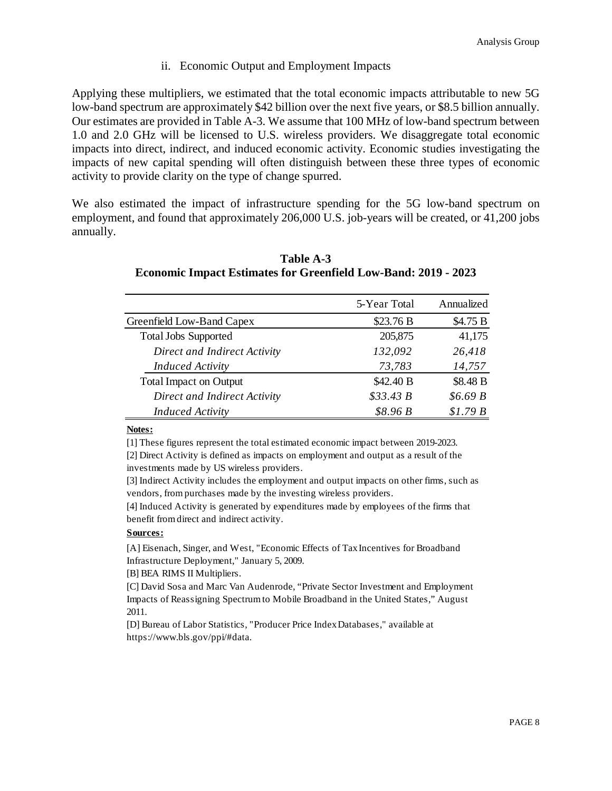#### ii. Economic Output and Employment Impacts

Applying these multipliers, we estimated that the total economic impacts attributable to new 5G low-band spectrum are approximately \$42 billion over the next five years, or \$8.5 billion annually. Our estimates are provided in Table A-3. We assume that 100 MHz of low-band spectrum between 1.0 and 2.0 GHz will be licensed to U.S. wireless providers. We disaggregate total economic impacts into direct, indirect, and induced economic activity. Economic studies investigating the impacts of new capital spending will often distinguish between these three types of economic activity to provide clarity on the type of change spurred.

We also estimated the impact of infrastructure spending for the 5G low-band spectrum on employment, and found that approximately 206,000 U.S. job-years will be created, or 41,200 jobs annually.

|                               | 5-Year Total | Annualized |
|-------------------------------|--------------|------------|
| Greenfield Low-Band Capex     | \$23.76 B    | \$4.75 B   |
| <b>Total Jobs Supported</b>   | 205,875      | 41,175     |
| Direct and Indirect Activity  | 132,092      | 26,418     |
| <b>Induced Activity</b>       | 73,783       | 14,757     |
| <b>Total Impact on Output</b> | \$42.40 B    | \$8.48 B   |
| Direct and Indirect Activity  | \$33.43 B    | \$6.69B    |
| <b>Induced Activity</b>       | \$8.96B      | \$1.79B    |

**Table A-3 Economic Impact Estimates for Greenfield Low-Band: 2019 - 2023** 

#### **Notes:**

[1] These figures represent the total estimated economic impact between 2019-2023.

[2] Direct Activity is defined as impacts on employment and output as a result of the investments made by US wireless providers.

[3] Indirect Activity includes the employment and output impacts on other firms, such as vendors, from purchases made by the investing wireless providers.

[4] Induced Activity is generated by expenditures made by employees of the firms that benefit from direct and indirect activity.

#### **Sources:**

[A] Eisenach, Singer, and West, "Economic Effects of Tax Incentives for Broadband Infrastructure Deployment," January 5, 2009.

[B] BEA RIMS II Multipliers.

[C] David Sosa and Marc Van Audenrode, "Private Sector Investment and Employment Impacts of Reassigning Spectrum to Mobile Broadband in the United States," August 2011.

[D] Bureau of Labor Statistics, "Producer Price Index Databases," available at https://www.bls.gov/ppi/#data.